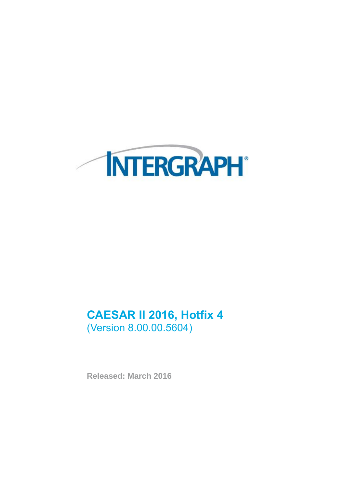

# **CAESAR II 2016, Hotfix 4** (Version 8.00.00.5604)

**Released: March 2016**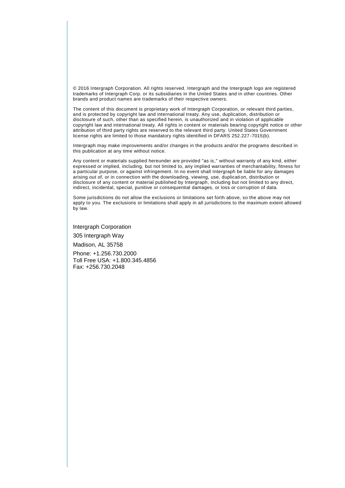© 2016 Intergraph Corporation. All rights reserved. Intergraph and the Intergraph logo are registered trademarks of Intergraph Corp. or its subsidiaries in the United States and in other countries. Other brands and product names are trademarks of their respective owners.

The content of this document is proprietary work of Intergraph Corporation, or relevant third parties, and is protected by copyright law and international treaty. Any use, duplication, distribution or disclosure of such, other than as specified herein, is unauthorized and in violation of applicable copyright law and international treaty. All rights in content or materials bearing copyright notice or other attribution of third party rights are reserved to the relevant third party. United States Government license rights are limited to those mandatory rights identified in DFARS 252.227 -7015(b).

Intergraph may make improvements and/or changes in the products and/or the programs described in this publication at any time without notice.

Any content or materials supplied hereunder are provided "as is," without warranty of any kind, either expressed or implied, including, but not limited to, any implied warranties of merchantability, fitness for a particular purpose, or against infringement. In no event shall Intergraph be liable for any damages arising out of, or in connection with the downloading, viewing, use, duplicati on, distribution or disclosure of any content or material published by Intergraph, including but not limited to any direct, indirect, incidental, special, punitive or consequential damages, or loss or corruption of data.

Some jurisdictions do not allow the exclusions or limitations set forth above, so the above may not apply to you. The exclusions or limitations shall apply in all jurisdictions to the maximum extent allowed by law.

Intergraph Corporation

305 Intergraph Way

Madison, AL 35758

Phone: +1.256.730.2000 Toll Free USA: +1.800.345.4856 Fax: +256.730.2048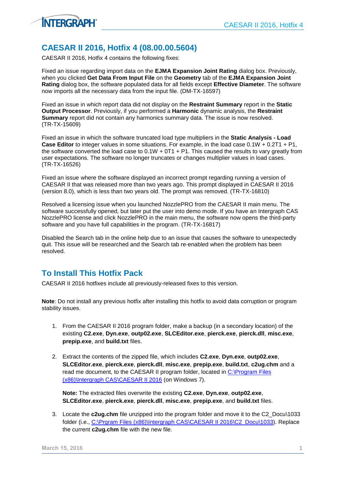

CAESAR II 2016, Hotfix 4 contains the following fixes:

**INTERGRAPH** 

Fixed an issue regarding import data on the **EJMA Expansion Joint Rating** dialog box. Previously, when you clicked **Get Data From Input File** on the **Geometry** tab of the **EJMA Expansion Joint Rating** dialog box, the software populated data for all fields except **Effective Diameter**. The software now imports all the necessary data from the input file. (DM-TX-16597)

Fixed an issue in which report data did not display on the **Restraint Summary** report in the **Static Output Processor**. Previously, if you performed a **Harmonic** dynamic analysis, the **Restraint Summary** report did not contain any harmonics summary data. The issue is now resolved. (TR-TX-15609)

Fixed an issue in which the software truncated load type multipliers in the **Static Analysis - Load Case Editor** to integer values in some situations. For example, in the load case 0.1W + 0.2T1 + P1, the software converted the load case to  $0.1W + 0T1 + P1$ . This caused the results to vary greatly from user expectations. The software no longer truncates or changes multiplier values in load cases. (TR-TX-16526)

Fixed an issue where the software displayed an incorrect prompt regarding running a version of CAESAR II that was released more than two years ago. This prompt displayed in CAESAR II 2016 (version 8.0), which is less than two years old. The prompt was removed. (TR-TX-16810)

Resolved a licensing issue when you launched NozzlePRO from the CAESAR II main menu. The software successfully opened, but later put the user into demo mode. If you have an Intergraph CAS NozzlePRO license and click NozzlePRO in the main menu, the software now opens the third-party software and you have full capabilities in the program. (TR-TX-16817)

Disabled the Search tab in the online help due to an issue that causes the software to unexpectedly quit. This issue will be researched and the Search tab re-enabled when the problem has been resolved.

## **To Install This Hotfix Pack**

CAESAR II 2016 hotfixes include all previously-released fixes to this version.

**Note**: Do not install any previous hotfix after installing this hotfix to avoid data corruption or program stability issues.

- 1. From the CAESAR II 2016 program folder, make a backup (in a secondary location) of the existing **C2.exe**, **Dyn.exe**, **outp02.exe**, **SLCEditor.exe**, **pierck.exe**, **pierck.dll**, **misc.exe**, **prepip.exe**, and **build.txt** files.
- 2. Extract the contents of the zipped file, which includes **C2.exe**, **Dyn.exe**, **outp02.exe**, **SLCEditor.exe**, **pierck.exe**, **pierck.dll**, **misc.exe**, **prepip.exe**, **build.txt**, **c2ug.chm** and a read me document, to the CAESAR II program folder, located in [C:\Program Files](file:///C:/Program%20Files%20(x86)/Intergraph%20CAS/CAESAR%20II%202016) [\(x86\)\Intergraph CAS\CAESAR II 2016](file:///C:/Program%20Files%20(x86)/Intergraph%20CAS/CAESAR%20II%202016) (on Windows 7).

**Note:** The extracted files overwrite the existing **C2.exe**, **Dyn.exe**, **outp02.exe**, **SLCEditor.exe**, **pierck.exe**, **pierck.dll**, **misc.exe**, **prepip.exe**, and **build.txt** files.

3. Locate the **c2ug.chm** file unzipped into the program folder and move it to the C2\_Docu\1033 folder (i.e., [C:\Prgram Files \(x86\)\Intergraph CAS\CAESAR II 2016\C2\\_Docu\1033\)](file:///C:/Prgram%20Files%20(x86)/Intergraph%20CAS/CAESAR%20II%202016/C2_Docu/1033). Replace the current **c2ug.chm** file with the new file.